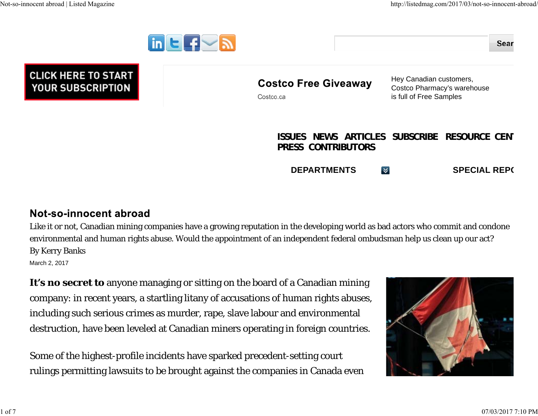

**PRESS CONTRIBUTORS**

**DEPARTMENTSSPECIAL REPORTS** 

## Not-so-innocent abroad

Like it or not, Canadian mining companies have a growing reputation in the developing world as bad actors who commit and condone environmental and human rights abuse. Would the appointment of an independent federal ombudsman help us clean up our act? By Kerry Banks

March 2, 2017

**It's no secret to** anyone managing or sitting on the board of a Canadian mining company: in recent years, a startling litany of accusations of human rights abuses, including such serious crimes as murder, rape, slave labour and environmental destruction, have been leveled at Canadian miners operating in foreign countries.

Some of the highest-profile incidents have sparked precedent-setting court rulings permitting lawsuits to be brought against the companies in Canada even

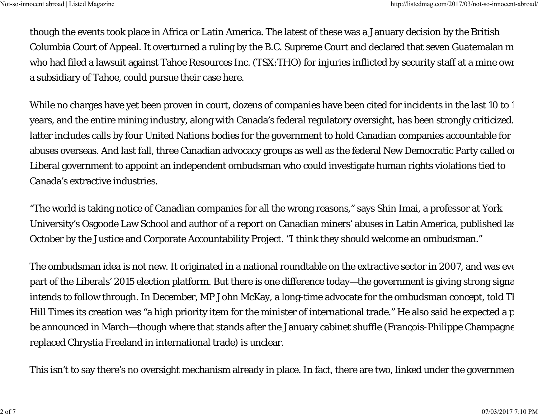though the events took place in Africa or Latin America. The latest of these was a January decision by the British Columbia Court of Appeal. It overturned a ruling by the B.C. Supreme Court and declared that seven Guatemalan m who had filed a lawsuit against Tahoe Resources Inc. (TSX:THO) for injuries inflicted by security staff at a mine own a subsidiary of Tahoe, could pursue their case here.

While no charges have yet been proven in court, dozens of companies have been cited for incidents in the last 10 to 1 years, and the entire mining industry, along with Canada's federal regulatory oversight, has been strongly criticized. latter includes calls by four United Nations bodies for the government to hold Canadian companies accountable for abuses overseas. And last fall, three Canadian advocacy groups as well as the federal New Democratic Party called on Liberal government to appoint an independent ombudsman who could investigate human rights violations tied to Canada's extractive industries.

"The world is taking notice of Canadian companies for all the wrong reasons," says Shin Imai, a professor at York University's Osgoode Law School and author of a report on Canadian miners' abuses in Latin America, published las October by the Justice and Corporate Accountability Project. "I think they should welcome an ombudsman."

The ombudsman idea is not new. It originated in a national roundtable on the extractive sector in 2007, and was eve part of the Liberals' 2015 election platform. But there is one difference today—the government is giving strong signa intends to follow through. In December, MP John McKay, a long-time advocate for the ombudsman concept, told *Th Hill Times* its creation was "a high priority item for the minister of international trade." He also said he expected a p be announced in March—though where that stands after the January cabinet shuffle (Francois-Philippe Champagne replaced Chrystia Freeland in international trade) is unclear.

This isn't to say there's no oversight mechanism already in place. In fact, there are two, linked under the governmen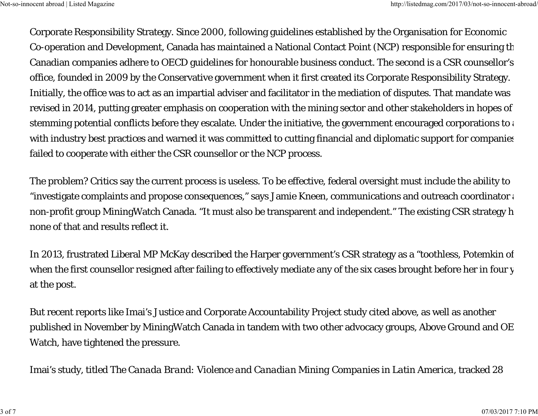Corporate Responsibility Strategy. Since 2000, following guidelines established by the Organisation for Economic Co-operation and Development, Canada has maintained a National Contact Point (NCP) responsible for ensuring t h Canadian companies adhere to OECD guidelines for honourable business conduct. The second is a CSR counsellor's office, founded in 2009 by the Conservative government when it first created its Corporate Responsibility Strategy. Initially, the office was to act as an impartial adviser and facilitator in the mediation of disputes. That mandate was revised in 2014, putting greater emphasis on cooperation with the mining sector and other stakeholders in hopes of stemming potential conflicts before they escalate. Under the initiative, the government encouraged corporations to a with industry best practices and warned it was committed to cutting financial and diplomatic support for companie s failed to cooperate with either the CSR counsellor or the NCP process.

The problem? Critics say the current process is useless. To be effective, federal oversight must include the ability to "investigate complaints and propose consequences," says Jamie Kneen, communications and outreach coordinator  $\colon$ non-profit group MiningWatch Canada. "It must also be transparent and independent." The existing CSR strategy h none of that and results reflect it.

In 2013, frustrated Liberal MP McKay described the Harper government's CSR strategy as a "toothless, Potemkin o f when the first counsellor resigned after failing to effectively mediate any of the six cases brought before her in four y at the post.

But recent reports like Imai's Justice and Corporate Accountability Project study cited above, as well as another published in November by MiningWatch Canada in tandem with two other advocacy groups, Above Ground and OE Watch, have tightened the pressure.

Imai's study, titled *The Canada Brand: Violence and Canadian Mining Companies in Latin America*, tracked 28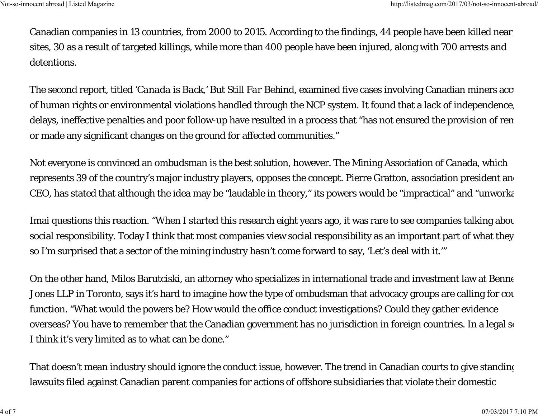Canadian companies in 13 countries, from 2000 to 2015. According to the findings, 44 people have been killed near sites, 30 as a result of targeted killings, while more than 400 people have been injured, along with 700 arrests and detentions.

The second report, titled '*Canada is Back,' But Still Far Behind*, examined five cases involving Canadian miners accu of human rights or environmental violations handled through the NCP system. It found that a lack of independence, delays, ineffective penalties and poor follow-up have resulted in a process that "has not ensured the provision of rem or made any significant changes on the ground for affected communities."

Not everyone is convinced an ombudsman is the best solution, however. The Mining Association of Canada, which represents 39 of the country's major industry players, opposes the concept. Pierre Gratton, association president and CEO, has stated that although the idea may be "laudable in theory," its powers would be "impractical" and "unworka

Imai questions this reaction. "When I started this research eight years ago, it was rare to see companies talking abou social responsibility. Today I think that most companies view social responsibility as an important part of what they so I'm surprised that a sector of the mining industry hasn't come forward to say, 'Let's deal with it.'"

On the other hand, Milos Barutciski, an attorney who specializes in international trade and investment law at Benne Jones LLP in Toronto, says it's hard to imagine how the type of ombudsman that advocacy groups are calling for cou function. "What would the powers be? How would the office conduct investigations? Could they gather evidence overseas? You have to remember that the Canadian government has no jurisdiction in foreign countries. In a legal se I think it's very limited as to what can be done."

That doesn't mean industry should ignore the conduct issue, however. The trend in Canadian courts to give standing lawsuits filed against Canadian parent companies for actions of offshore subsidiaries that violate their domestic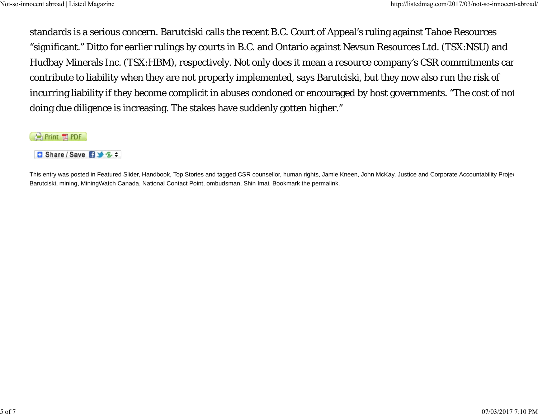standards is a serious concern. Barutciski calls the recent B.C. Court of Appeal's ruling against Tahoe Resources "significant." Ditto for earlier rulings by courts in B.C. and Ontario against Nevsun Resources Ltd. (TSX:NSU) and Hudbay Minerals Inc. (TSX:HBM), respectively. Not only does it mean a resource company's CSR commitments can contribute to liability when they are not properly implemented, says Barutciski, but they now also run the risk of incurring liability if they become complicit in abuses condoned or encouraged by host governments. "The cost of not doing due diligence is increasing. The stakes have suddenly gotten higher."

Print TAPDF

**D** Share / Save **D** 3 2 =

This entry was posted in Featured Slider, Handbook, Top Stories and tagged CSR counsellor, human rights, Jamie Kneen, John McKay, Justice and Corporate Accountability Projection Barutciski, mining, MiningWatch Canada, National Contact Point, ombudsman, Shin Imai. Bookmark the permalink.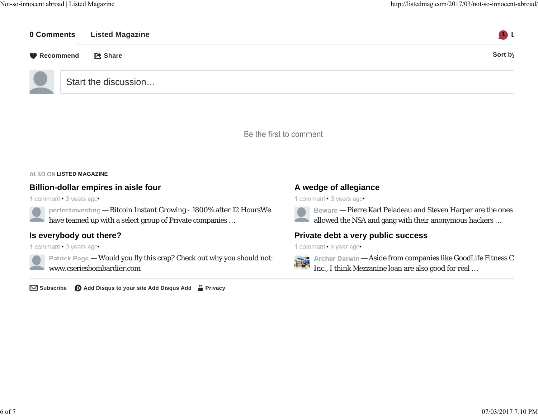